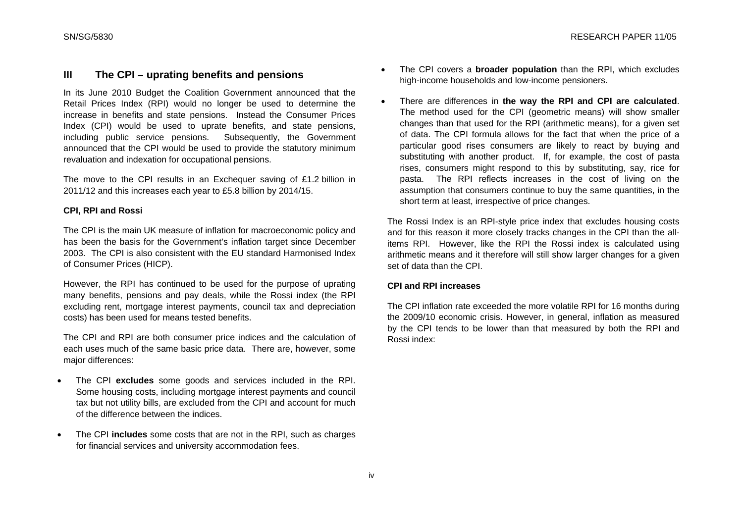# **III The CPI – uprating benefits and pensions**

In its June 2010 Budget the Coalition Government announced that the Retail Prices Index (RPI) would no longer be used to determine the increase in benefits and state pensions. Instead the Consumer Prices Index (CPI) would be used to uprate benefits, and state pensions, including public service pensions. Subsequently, the Government announced that the CPI would be used to provide the statutory minimum revaluation and indexation for occupational pensions.

The move to the CPI results in an Exchequer saving of £1.2 billion in 2011/12 and this increases each year to £5.8 billion by 2014/15.

## **CPI, RPI and Rossi**

The CPI is the main UK measure of inflation for macroeconomic policy and has been the basis for the Government's inflation target since December 2003. The CPI is also consistent with the EU standard Harmonised Index of Consumer Prices (HICP).

However, the RPI has continued to be used for the purpose of uprating many benefits, pensions and pay deals, while the Rossi index (the RPI excluding rent, mortgage interest payments, council tax and depreciation costs) has been used for means tested benefits.

The CPI and RPI are both consumer price indices and the calculation of each uses much of the same basic price data. There are, however, some major differences:

- The CPI **excludes** some goods and services included in the RPI. Some housing costs, including mortgage interest payments and council tax but not utility bills, are excluded from the CPI and account for much of the difference between the indices.
- The CPI **includes** some costs that are not in the RPI, such as charges for financial services and university accommodation fees.
- The CPI covers a **broader population** than the RPI, which excludes high-income households and low-income pensioners.
- There are differences in **the way the RPI and CPI are calculated**. The method used for the CPI (geometric means) will show smaller changes than that used for the RPI (arithmetic means), for a given set of data. The CPI formula allows for the fact that when the price of a particular good rises consumers are likely to react by buying and substituting with another product. If, for example, the cost of pasta rises, consumers might respond to this by substituting, say, rice for pasta. The RPI reflects increases in the cost of living on the assumption that consumers continue to buy the same quantities, in the short term at least, irrespective of price changes.

The Rossi Index is an RPI-style price index that excludes housing costs and for this reason it more closely tracks changes in the CPI than the allitems RPI. However, like the RPI the Rossi index is calculated using arithmetic means and it therefore will still show larger changes for a given set of data than the CPI.

### **CPI and RPI increases**

The CPI inflation rate exceeded the more volatile RPI for 16 months during the 2009/10 economic crisis. However, in general, inflation as measured by the CPI tends to be lower than that measured by both the RPI and Rossi index: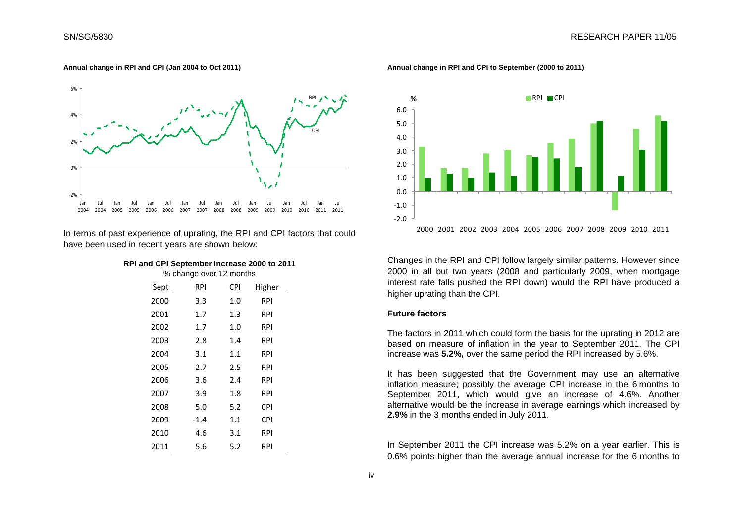#### **Annual change in RPI and CPI (Jan 2004 to Oct 2011)**



In terms of past experience of uprating, the RPI and CPI factors that could have been used in recent years are shown below:

| RPI and CPI September increase 2000 to 2011 |  |
|---------------------------------------------|--|
|---------------------------------------------|--|

% change over 12 months

| Sept | <b>RPI</b> | <b>CPI</b> | Higher |
|------|------------|------------|--------|
| 2000 | 3.3        | 1.0        | RPI    |
| 2001 | 1.7        | 1.3        | RPI    |
| 2002 | 1.7        | 1.0        | RPI    |
| 2003 | 2.8        | 1.4        | RPI    |
| 2004 | 3.1        | 1.1        | RPI    |
| 2005 | 2.7        | 2.5        | RPI    |
| 2006 | 3.6        | 2.4        | RPI    |
| 2007 | 3.9        | 1.8        | RPI    |
| 2008 | 5.0        | 5.2        | CPI    |
| 2009 | $-1.4$     | 1.1        | CPI    |
| 2010 | 4.6        | 3.1        | RPI    |
| 2011 | 5.6        | 5.2        | RPI    |

**Annual change in RPI and CPI to September (2000 to 2011)** 



Changes in the RPI and CPI follow largely similar patterns. However since 2000 in all but two years (2008 and particularly 2009, when mortgage interest rate falls pushed the RPI down) would the RPI have produced a higher uprating than the CPI.

#### **Future factors**

The factors in 2011 which could form the basis for the uprating in 2012 are based on measure of inflation in the year to September 2011. The CPI increase was **5.2%,** over the same period the RPI increased by 5.6%.

It has been suggested that the Government may use an alternative inflation measure; possibly the average CPI increase in the 6 months to September 2011, which would give an increase of 4.6%. Another alternative would be the increase in average earnings which increased by **2.9%** in the 3 months ended in July 2011.

In September 2011 the CPI increase was 5.2% on a year earlier. This is 0.6% points higher than the average annual increase for the 6 months to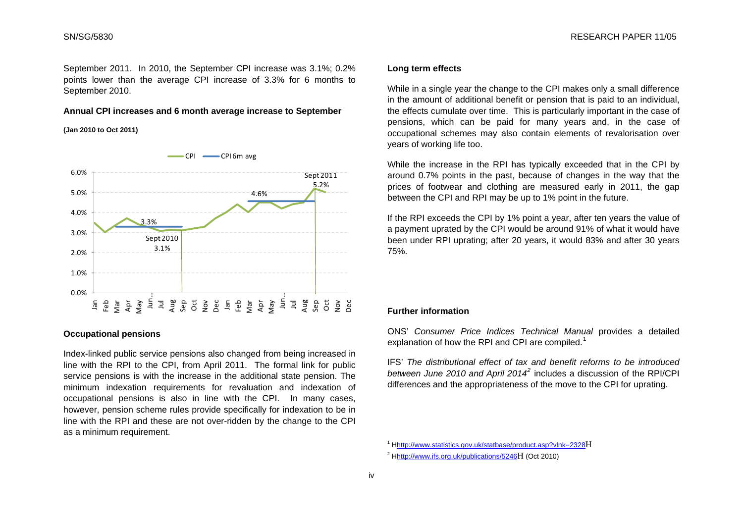<span id="page-2-0"></span>September 2011. In 2010, the September CPI increase was 3.1%; 0.2% points lower than the average CPI increase of 3.3% for 6 months to September 2010.

## **Annual CPI increases and 6 month average increase to September**

#### **(Jan 2010 to Oct 2011)**



## **Occupational pensions**

<span id="page-2-1"></span>Index-linked public service pensions also changed from being increased in line with the RPI to the CPI, from April 2011. The formal link for public service pensions is with the increase in the additional state pension. The minimum indexation requirements for revaluation and indexation of occupational pensions is also in line with the CPI. In many cases, however, pension scheme rules provide specifically for indexation to be in line with the RPI and these are not over-ridden by the change to the CPI as a minimum requirement.

#### **Long term effects**

While in a single year the change to the CPI makes only a small difference in the amount of additional benefit or pension that is paid to an individual, the effects cumulate over time. This is particularly important in the case of pensions, which can be paid for many years and, in the case of occupational schemes may also contain elements of revalorisation over years of working life too.

While the increase in the RPI has typically exceeded that in the CPI by around 0.7% points in the past, because of changes in the way that the prices of footwear and clothing are measured early in 2011, the gap between the CPI and RPI may be up to 1% point in the future.

If the RPI exceeds the CPI by 1% point a year, after ten years the value of a payment uprated by the CPI would be around 91% of what it would have been under RPI uprating; after 20 years, it would 83% and after 30 years 75%.

#### **Further information**

ONS' *Consumer Price Indices Technical Manual* provides a detailed explanation of how the RPI and CPI are compiled.<sup>[1](#page-2-0)</sup>

IFS' *The distributional effect of tax and benefit reforms to be introduced between June 2010 and April 2014[2](#page-2-1)* includes a discussion of the RPI/CPI differences and the appropriateness of the move to the CPI for uprating.

<sup>1</sup> Hhttp://www.statistics.gov.uk/statbase/product.asp?vlnk=2328H

<sup>2</sup> Hhttp://www.ifs.org.uk/publications/5246H (Oct 2010)